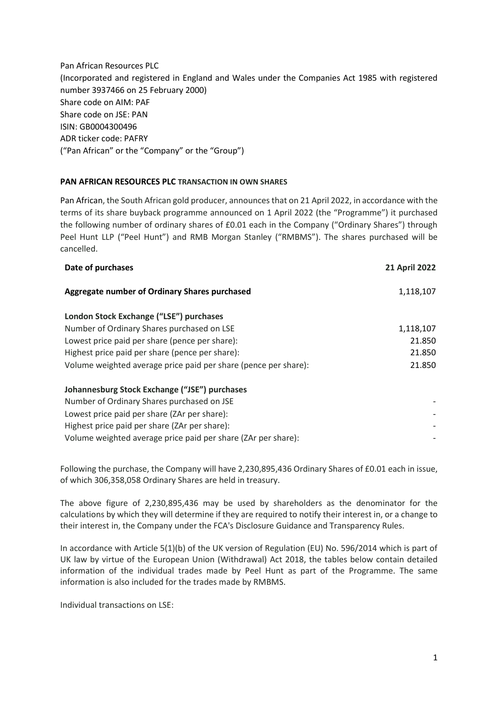Pan African Resources PLC (Incorporated and registered in England and Wales under the Companies Act 1985 with registered number 3937466 on 25 February 2000) Share code on AIM: PAF Share code on JSE: PAN ISIN: GB0004300496 ADR ticker code: PAFRY ("Pan African" or the "Company" or the "Group")

## **PAN AFRICAN RESOURCES PLC TRANSACTION IN OWN SHARES**

Pan African, the South African gold producer, announces that on 21 April 2022, in accordance with the terms of its share buyback programme announced on 1 April 2022 (the "Programme") it purchased the following number of ordinary shares of £0.01 each in the Company ("Ordinary Shares") through Peel Hunt LLP ("Peel Hunt") and RMB Morgan Stanley ("RMBMS"). The shares purchased will be cancelled.

| <b>21 April 2022</b> |
|----------------------|
| 1,118,107            |
|                      |
| 1,118,107            |
| 21.850               |
| 21.850               |
| 21.850               |
|                      |
|                      |
|                      |
|                      |
|                      |
|                      |

Following the purchase, the Company will have 2,230,895,436 Ordinary Shares of £0.01 each in issue, of which 306,358,058 Ordinary Shares are held in treasury.

The above figure of 2,230,895,436 may be used by shareholders as the denominator for the calculations by which they will determine if they are required to notify their interest in, or a change to their interest in, the Company under the FCA's Disclosure Guidance and Transparency Rules.

In accordance with Article 5(1)(b) of the UK version of Regulation (EU) No. 596/2014 which is part of UK law by virtue of the European Union (Withdrawal) Act 2018, the tables below contain detailed information of the individual trades made by Peel Hunt as part of the Programme. The same information is also included for the trades made by RMBMS.

Individual transactions on LSE: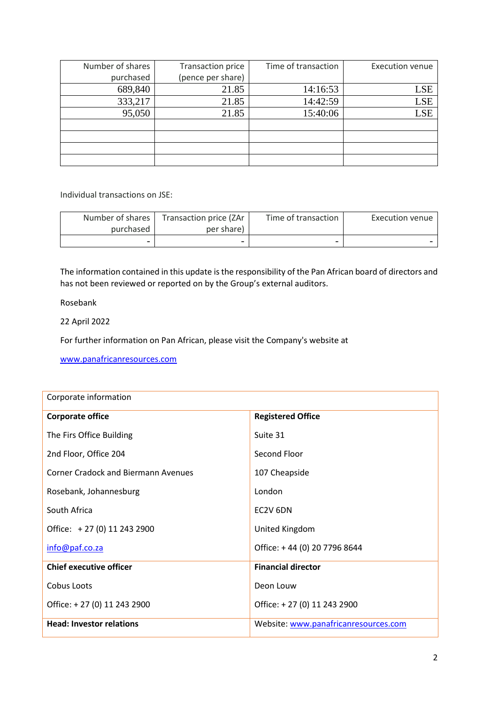| Number of shares | Transaction price | Time of transaction | <b>Execution venue</b> |
|------------------|-------------------|---------------------|------------------------|
| purchased        | (pence per share) |                     |                        |
| 689,840          | 21.85             | 14:16:53            | LSE                    |
| 333,217          | 21.85             | 14:42:59            | <b>LSE</b>             |
| 95,050           | 21.85             | 15:40:06            | <b>LSE</b>             |
|                  |                   |                     |                        |
|                  |                   |                     |                        |
|                  |                   |                     |                        |
|                  |                   |                     |                        |

Individual transactions on JSE:

| Number of shares | Transaction price (ZAr   | Time of transaction | Execution venue |
|------------------|--------------------------|---------------------|-----------------|
| purchased        | per share)               |                     |                 |
|                  | $\overline{\phantom{0}}$ |                     |                 |

The information contained in this update is the responsibility of the Pan African board of directors and has not been reviewed or reported on by the Group's external auditors.

Rosebank

22 April 2022

For further information on Pan African, please visit the Company's website at

[www.panafricanresources.com](http://www.panafricanresources.com/)

| Corporate information                      |                                      |  |  |
|--------------------------------------------|--------------------------------------|--|--|
| <b>Corporate office</b>                    | <b>Registered Office</b>             |  |  |
| The Firs Office Building                   | Suite 31                             |  |  |
| 2nd Floor, Office 204                      | Second Floor                         |  |  |
| <b>Corner Cradock and Biermann Avenues</b> | 107 Cheapside                        |  |  |
| Rosebank, Johannesburg                     | London                               |  |  |
| South Africa                               | EC2V 6DN                             |  |  |
| Office: +27 (0) 11 243 2900                | United Kingdom                       |  |  |
| info@paf.co.za                             | Office: +44 (0) 20 7796 8644         |  |  |
| <b>Chief executive officer</b>             | <b>Financial director</b>            |  |  |
| Cobus Loots                                | Deon Louw                            |  |  |
| Office: +27 (0) 11 243 2900                | Office: +27 (0) 11 243 2900          |  |  |
| <b>Head: Investor relations</b>            | Website: www.panafricanresources.com |  |  |